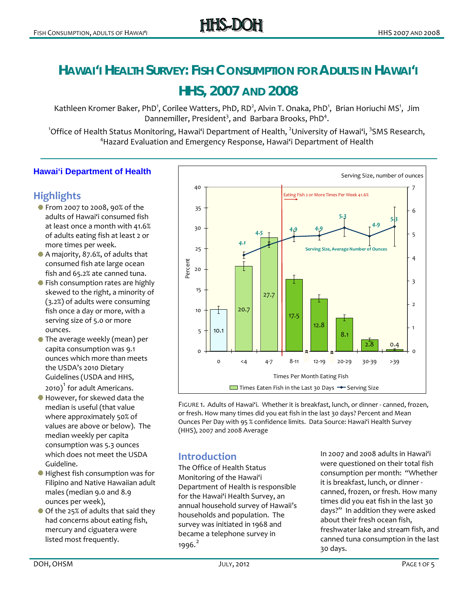# **HAWAI'I HEALTH SURVEY: FISH CONSUMPTION FOR ADULTS IN HAWAI'I**

# **HHS, 2007 AND 2008**

Kathleen Kromer Baker, PhD<sup>1</sup>, Corilee Watters, PhD, RD<sup>2</sup>, Alvin T. Onaka, PhD<sup>1</sup>, Brian Horiuchi MS<sup>1</sup>, Jim Dannemiller, President<sup>3</sup>, and Barbara Brooks, PhD<sup>4</sup>.

1 Office of Health Status Monitoring, Hawai'i Department of Health, <sup>2</sup> University of Hawai'i, <sup>3</sup> SMS Research, 4 Hazard Evaluation and Emergency Response, Hawai'i Department of Health

#### **Hawai'i Department of Health**

# **Highlights**

- From 2007 to 2008, 90% of the adults of Hawaiʻi consumed fish at least once a month with 41.6% of adults eating fish at least 2 or more times per week.
- A majority, 87.6%, of adults tha t consumed fish ate large oc ean fish and 65.2% ate canned tuna.
- Fish consumption rates are highly skewed to the right, a mino rity of (3.2%) of adults wer e consuming fish once a day or more, with a serving size of 5.0 or more ounces.
- The average weekly (mean) per capita consumption was 9.1 ounces which more than me ets the USDA 's 2010 Dietary 20[1](#page-4-0)0) $^1$  for adult Americans. Guidelines (USDA and HHS,
- <span id="page-0-0"></span>However, for skewed data th e median is useful (that va lue where approximately 50 % of values are above or below). The median weekly per capita consumption was 5.3 ounces which does not meet the USDA Guideline.
- Highest fish consumption was for Filipino and Native Hawaiia n adult males (median 9.0 and 8.9 ounces per week),
- Of the 25% of adults that said they had concerns about eating fish, mercury and ciguatera were listed most frequently.



FIGURE 1. Adults of Hawai'i. Whether it is breakfast, lunch, or dinner ‐ canned, froze n, or fresh. How many times did you eat fish in the last 30 days? Percent and Mea n Ounces Per Day with 95 % confidence limits. Data Source: Hawai'i Health Surve y (HHS), 2007 and 2008 Averag e

# **Introduction**

Department of Health is responsible for the Hawai'i Health Survey, an annual household survey of Hawaii's households and population. The survey was initiated in 1968 and The Office of Health Status Monitoring of the Hawai'i became a telephone survey in 1996.<sup>[2](#page-4-1)</sup>

consumption per month: "Whether days?" In addition they were asked In 2007 and 2008 adults in Hawai'i were questioned on their total fish it is breakfast, lunch, or dinner ‐ canned, frozen, or fresh. How many times did you eat fish in the last 30 about their fresh ocean fish, freshwater lake and stream fish, and canned tuna consumption in the last 30 days.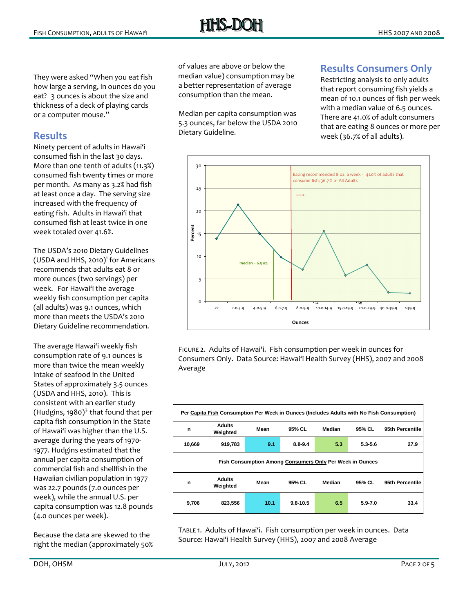They were asked "When you eat fish how large a serving, in ounces do you eat? 3 ounces is about the size and thickness of a deck of playing cards or a computer mouse."

#### **Results**

Ninety percent of adults in Hawaiʻi consumed fish in the last 30 days. More than one tenth of adults (11.3%) e consumed fish twenty times or mor per month. As many as 3.2% had fish at least once a day. The serving size increased with the frequency of eating fish. Adults in Hawaiʻi that consumed fish at least twice in one week totaled over 41.6%.

(USDA and HHS, 2010)<sup>1</sup> for Americans recommends that adults eat 8 or more ounces (two servings) per week. For Hawai'i the average weekly fish consumption per capita (all adults) was 9.1 ounces, which more than meets the USDA's 2010 Dietary Guideline recommendation. The USDA's 2010 Dietary Guidelines

The average Hawaiʻi weekly fish consumption rate of 9.1 ounces is more than twice the mean weekly intake of seafood in the United States of approximately 3.5 ounces (Hudgins, 1980) $^3$  $^3$  that found that per capita fish consumption in the State of Hawaiʻi was higher than the U.S. average during the years of 1970-1977. Hudgins estimated that the annual per capita consumption of commercial fish and shellfish in the Hawaiian civilian population in 1977 r was 22.7 pounds (7.0 ounces pe week), while the annual U.S. per capita consumption was 12.8 pounds (USDA and HHS, 2010). This is consistent with an earlier study (4.0 ounces per week).

Because the data are skewed to the right the median (approximately 50% of values are above or below the median value) consumption may be a better representation of average consumption than the mean.

Median per capita consumption was 5.3 ounces, far below the USDA 2010 Dietary Guideline.

#### **Results Consumers Only**

that report consuming fish yields a that are eating 8 ounces or more per Restricting analysis to only adults mean of 10.1 ounces of fish per week with a median value of 6.5 ounces. There are 41.0% of adult consumers week (36.7% of all adults).



FIGURE 2. Adults of Hawai'i. Fish consumption per week in ounces for Consumers Only. Data Source: Hawai'i Health Survey (HHS), 2007 and 2008 Average

|        | Per Capita Fish Consumption Per Week in Ounces (Includes Adults with No Fish Consumption) |                                                          |              |        |             |                 |
|--------|-------------------------------------------------------------------------------------------|----------------------------------------------------------|--------------|--------|-------------|-----------------|
| n      | <b>Adults</b><br>Weighted                                                                 | Mean                                                     | 95% CL       | Median | 95% CL      | 95th Percentile |
| 10,669 | 919,783                                                                                   | 9.1                                                      | $8.8 - 9.4$  | 5.3    | $5.3 - 5.6$ | 27.9            |
|        |                                                                                           | Fish Consumption Among Consumers Only Per Week in Ounces |              |        |             |                 |
| n      | <b>Adults</b><br>Weighted                                                                 | Mean                                                     | 95% CL       | Median | 95% CL      | 95th Percentile |
| 9,706  | 823,556                                                                                   | 10.1                                                     | $9.8 - 10.5$ | 6.5    | $5.9 - 7.0$ | 33.4            |

TABLE 1. Adults of Hawai'i. Fish consumption per week in ounces. Data Source: Hawai'i Health Survey (HHS), 2007 and 2008 Average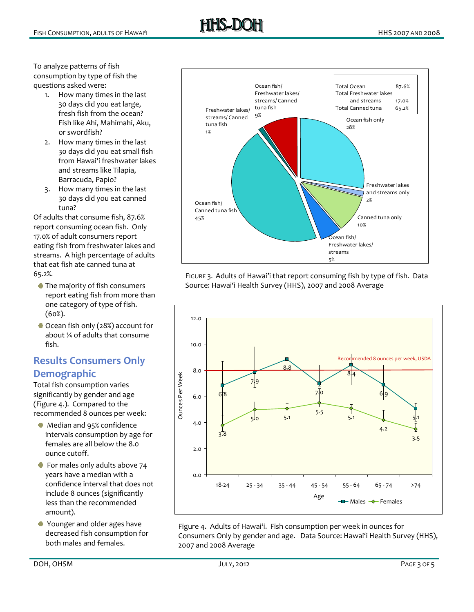To analyze patterns of fish consumption by type of fish the questions asked were:

- 1. How many times in the last 30 days did you eat large, fresh fish from the ocean? Fish like Ahi, Mahimahi, Aku, or swordfish?
- 2. How many times in the last 30 days did you eat small fish from Hawai'i freshwater lakes and streams like Tilapia, Barracuda, Papio?
- 3. How many times in the last 30 days did you eat canned tuna?

Of adults that consume fish, 87.6% report consuming ocean fish. Only 17.0% of adult consumers report eating fish from freshwater lakes and streams. A high percentage of adults that eat fish ate canned tuna at 65.2%.

- **The majority of fish consumers** report eating fish from more than one category of type of fish. (60%).
- Ocean fish only (28%) account for about ¼ of adults that consume fish.

# **Results Consumers Only Demographic**

Total fish consumption varies significantly by gender and age (Figure 4.). Compared to the recommended 8 ounces per week:

- **Median and 95% confidence** intervals consumption by age for females are all below the 8.0 ounce cutoff.
- For males only adults above 74 years have a median with a confidence interval that does not include 8 ounces (significantly less than the recommended amount).
- Younger and older ages have decreased fish consumption for both males and females.



FIGURE 3. Adults of Hawai'i that report consuming fish by type of fish. Data Source: Hawai'i Health Survey (HHS), 2007 and 2008 Average



Figure 4. Adults of Hawai'i. Fish consumption per week in ounces for Consumers Only by gender and age. Data Source: Hawai'i Health Survey (HHS), 2007 and 2008 Average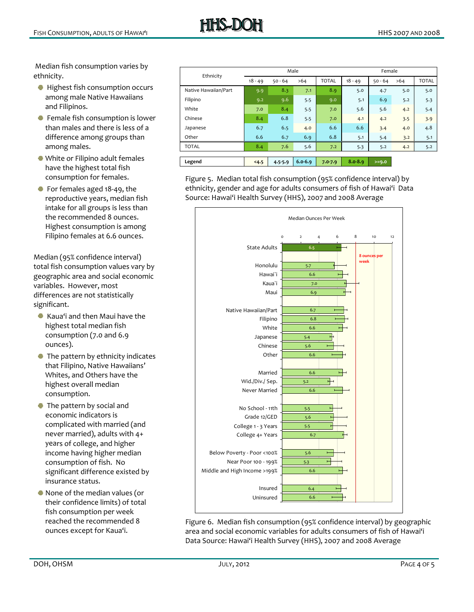Median fish consumption v aries by ethnicity.

- **Highest fish consumption occurs** among male Native Hawaiians and Filipinos.
- Female fish consumption is lo wer than males and there is le ss of a difference among group s than among males.
- White or Filipino adult femal es have the highest total fish consumption for females.
- For females aged 18‐49, the reproductive years, me dian fish intake for all groups is less than the recommended 8 ounces. Highest consumption is among Filipino females at 6.6 ounces.

l) Median (95% confidence interva total fish consumption values vary by geographic area and social economic variables. However, most differences are not statistically significant.

- Kaua'i and then Maui have the highest total median fish consumption (7.0 and 6.9 ounces).
- The pattern by ethnicity in dicates that Filipino, Na tive Hawaiians' Whites, and Others have the highest overall median consumption.
- **The pattern by social and** economic indicators is complicated with married (a nd never married), adults wit h 4+ yea rs of college, and higher significant difference existed by income having higher median consumption of fish. No insurance status.
- None of the median values (o r their confidence limits) of total fish consumption per week reached the recomme ounces except for Kaua'i.

| Ethnicity            | Male      |             |             | Female       |             |           |     |              |
|----------------------|-----------|-------------|-------------|--------------|-------------|-----------|-----|--------------|
|                      | $18 - 49$ | $50 - 64$   | >64         | <b>TOTAL</b> | $18 - 49$   | $50 - 64$ | >64 | <b>TOTAL</b> |
| Native Hawaiian/Part | 9.9       | 8.3         | 7.1         | 8.9          | 5.0         | 4.7       | 5.0 | 5.0          |
| Filipino             | 9.2       | 9.6         | 5.5         | 9.0          | 5.1         | 6.9       | 5.2 | 5.3          |
| White                | 7.0       | 8.4         | 5.5         | 7.0          | 5.6         | 5.6       | 4.2 | 5.4          |
| Chinese              | 8.4       | 6.8         | 5.5         | 7.0          | 4.1         | 4.2       | 3.5 | 3.9          |
| Japanese             | 6.7       | 6.5         | 4.0         | 6.6          | 6.6         | 3.4       | 4.0 | 4.8          |
| Other                | 6.6       | 6.7         | 6.9         | 6.8          | 5.1         | 5.4       | 3.2 | 5.1          |
| <b>TOTAL</b>         | 8.4       | 7.6         | 5.6         | 7.2          | 5.3         | 5.2       | 4.2 | 5.2          |
|                      |           |             |             |              |             |           |     |              |
| Legend               | 4.5       | $4.5 - 5.9$ | $6.0 - 6.9$ | $7.0 - 7.9$  | $8.0 - 8.9$ | $>=9.0$   |     |              |

Figure 5. Median total fish consumption (95% confidence interval) by ethnicity, gender and age for adults consumers of fish of Hawai'i Data Source: Hawai'i Health Survey (HHS), 2007 and 2008 Average



Figure 6. Median fish consumption (95% confidence interval) by geographic area and social economic variables for adults consumers of fish of Haw ai'i Data Source: Hawai'i Health Survey (HHS), 2007 and 2008 Average